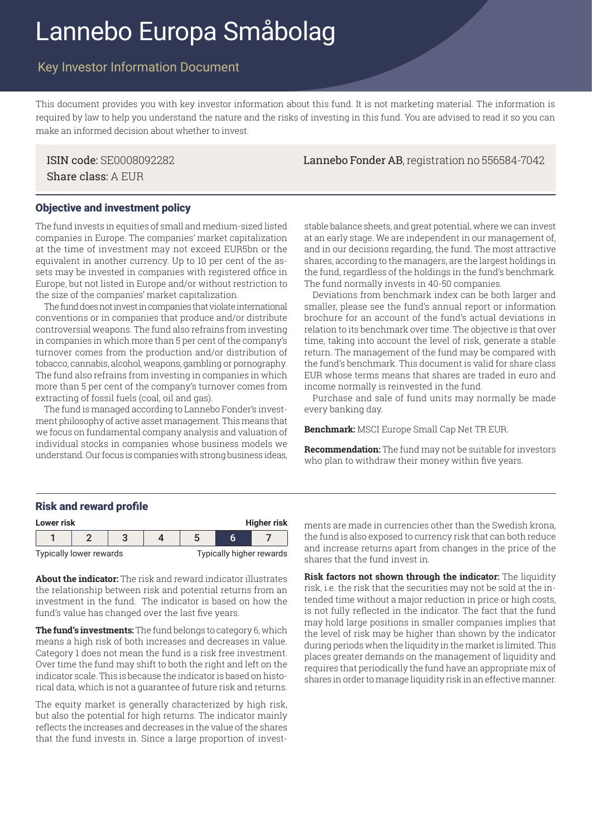# Lannebo Europa Småbolag

# Key Investor Information Document

This document provides you with key investor information about this fund. It is not marketing material. The information is required by law to help you understand the nature and the risks of investing in this fund. You are advised to read it so you can make an informed decision about whether to invest.

Share class: A EUR

ISIN code: SE0008092282 Lannebo Fonder AB, registration no 556584-7042

#### Objective and investment policy

The fund invests in equities of small and medium-sized listed companies in Europe. The companies' market capitalization at the time of investment may not exceed EUR5bn or the equivalent in another currency. Up to 10 per cent of the assets may be invested in companies with registered office in Europe, but not listed in Europe and/or without restriction to the size of the companies' market capitalization.

The fund does not invest in companies that violate international conventions or in companies that produce and/or distribute controversial weapons. The fund also refrains from investing in companies in which more than 5 per cent of the company's turnover comes from the production and/or distribution of tobacco, cannabis, alcohol, weapons, gambling or pornography. The fund also refrains from investing in companies in which more than 5 per cent of the company's turnover comes from extracting of fossil fuels (coal, oil and gas).

The fund is managed according to Lannebo Fonder's investment philosophy of active asset management. This means that we focus on fundamental company analysis and valuation of individual stocks in companies whose business models we understand. Our focus is companies with strong business ideas,

stable balance sheets, and great potential, where we can invest at an early stage. We are independent in our management of, and in our decisions regarding, the fund. The most attractive shares, according to the managers, are the largest holdings in the fund, regardless of the holdings in the fund's benchmark. The fund normally invests in 40-50 companies.

Deviations from benchmark index can be both larger and smaller, please see the fund's annual report or information brochure for an account of the fund's actual deviations in relation to its benchmark over time. The objective is that over time, taking into account the level of risk, generate a stable return. The management of the fund may be compared with the fund's benchmark. This document is valid for share class EUR whose terms means that shares are traded in euro and income normally is reinvested in the fund.

Purchase and sale of fund units may normally be made every banking day.

**Benchmark:** MSCI Europe Small Cap Net TR EUR.

**Recommendation:** The fund may not be suitable for investors who plan to withdraw their money within five years.

#### Risk and reward profile

| Higher risk<br>Lower risk |  |                         |  |  |                          |  |  |
|---------------------------|--|-------------------------|--|--|--------------------------|--|--|
|                           |  |                         |  |  |                          |  |  |
|                           |  | Typically lower rewards |  |  | Typically higher rewards |  |  |

**About the indicator:** The risk and reward indicator illustrates the relationship between risk and potential returns from an investment in the fund. The indicator is based on how the fund's value has changed over the last five years.

**The fund's investments:** The fund belongs to category 6, which means a high risk of both increases and decreases in value. Category 1 does not mean the fund is a risk free investment. Over time the fund may shift to both the right and left on the indicator scale. This is because the indicator is based on historical data, which is not a guarantee of future risk and returns.

The equity market is generally characterized by high risk, but also the potential for high returns. The indicator mainly reflects the increases and decreases in the value of the shares that the fund invests in. Since a large proportion of invest**Lower risk Higher risk** ments are made in currencies other than the Swedish krona, the fund is also exposed to currency risk that can both reduce and increase returns apart from changes in the price of the shares that the fund invest in.

**Risk factors not shown through the indicator:** The liquidity risk, i.e. the risk that the securities may not be sold at the intended time without a major reduction in price or high costs, is not fully reflected in the indicator. The fact that the fund may hold large positions in smaller companies implies that the level of risk may be higher than shown by the indicator during periods when the liquidity in the market is limited. This places greater demands on the management of liquidity and requires that periodically the fund have an appropriate mix of shares in order to manage liquidity risk in an effective manner.